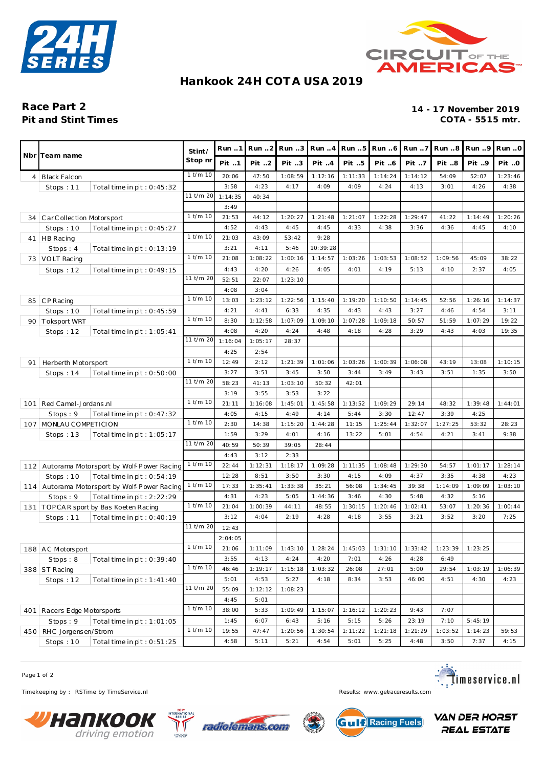



#### **Hankook 24H COT A USA 2019**

# **Pit and Stint Times**

## Race Part 2<br>
Pit and Stint Times<br>
Pit and Stint Times<br>
2019<br>
2014 - 17 November 2019

|     | Nbr Team name                                |              | Run.1                 | Run 2   | Run 3   | Run.4    | Run 5   | Run 6                             | Run 7   | Run 8   | Run 9   | Run.0   |
|-----|----------------------------------------------|--------------|-----------------------|---------|---------|----------|---------|-----------------------------------|---------|---------|---------|---------|
|     |                                              |              | Pit 1                 | Pit 2   | Pit 3   | Pit 4    | Pit 5   | Pit 6                             | Pit 7   | Pit 8   | Pit 9   | Pit O   |
| 4   | Black Falcon                                 |              | 20:06                 | 47:50   | 1:08:59 | 1:12:16  | 1:11:33 | 1:14:24                           | 1:14:12 | 54:09   | 52:07   | 1:23:46 |
|     | Stops: 11<br>Total time in pit: $0:45:32$    |              | 3:58                  | 4:23    | 4:17    | 4:09     | 4:09    | 4:24                              | 4:13    | 3:01    | 4:26    | 4:38    |
|     |                                              | 11 t/m 20    | 1:14:35               | 40:34   |         |          |         |                                   |         |         |         |         |
|     |                                              |              | 3:49                  |         |         |          |         |                                   |         |         |         |         |
| 34  | Car Collection Motorsport                    |              | 21:53                 | 44:12   | 1:20:27 | 1:21:48  | 1:21:07 | 1:22:28                           | 1:29:47 | 41:22   | 1:14:49 | 1:20:26 |
|     | Stops: $10$<br>Total time in pit: $0:45:27$  |              | 4:52                  | 4:43    | 4:45    | 4:45     | 4:33    | 4:38                              | 3:36    | 4:36    | 4:45    | 4:10    |
|     | 41   HB Racing                               | $1$ t/m $10$ | 21:03                 | 43:09   | 53:42   | 9:28     |         |                                   |         |         |         |         |
|     | Stops: 4<br>Total time in pit : $0:13:19$    |              | 3:21                  | 4:11    | 5:46    | 10:39:28 |         |                                   |         |         |         |         |
|     | 73   VOLT Racing                             | $1$ t/m $10$ | 21:08                 | 1:08:22 | 1:00:16 | 1:14:57  | 1:03:26 | 1:03:53                           | 1:08:52 | 1:09:56 | 45:09   | 38:22   |
|     | Stops: 12<br>Total time in pit: $0:49:15$    |              | 4:43                  | 4:20    | 4:26    | 4:05     | 4:01    | 4:19                              | 5:13    | 4:10    | 2:37    | 4:05    |
|     |                                              | 11 t/m 20    | 52:51                 | 22:07   | 1:23:10 |          |         |                                   |         |         |         |         |
|     |                                              |              | 4:08                  | 3:04    |         |          |         |                                   |         |         |         |         |
| 85  | CP Racing                                    | $1$ t/m $10$ | 13:03                 | 1:23:12 | 1:22:56 | 1:15:40  | 1:19:20 | 1:10:50                           | 1:14:45 | 52:56   | 1:26:16 | 1:14:37 |
|     | Stops: $10$<br>Total time in pit: 0:45:59    |              | 4:21                  | 4:41    | 6:33    | 4:35     | 4:43    | 4:43                              | 3:27    | 4:46    | 4:54    | 3:11    |
| 90  | <b>Toksport WRT</b>                          | $1$ t/m $10$ | 8:30                  | 1:12:58 | 1:07:09 | 1:09:10  | 1:07:28 | 1:09:18                           | 50:57   | 51:59   | 1:07:29 | 19:22   |
|     | Stops: $12$<br>Total time in pit : $1:05:41$ |              | 4:08                  | 4:20    | 4:24    | 4:48     | 4:18    | 4:28                              | 3:29    | 4:43    | 4:03    | 19:35   |
|     |                                              | 11 t/m 20    | 1:16:04               | 1:05:17 | 28:37   |          |         |                                   |         |         |         |         |
|     |                                              |              | 4:25                  | 2:54    |         |          |         |                                   |         |         |         |         |
| 91  | Herberth Motorsport                          | $1$ t/m $10$ | 12:49                 | 2:12    | 1:21:39 | 1:01:06  | 1:03:26 | 1:00:39                           | 1:06:08 | 43:19   | 13:08   | 1:10:15 |
|     | Stops: $14$<br>Total time in pit: $0:50:00$  |              | 3:27                  | 3:51    | 3:45    | 3:50     | 3:44    | 3:49                              | 3:43    | 3:51    | 1:35    | 3:50    |
|     |                                              | 11 t/m 20    | 58:23                 | 41:13   | 1:03:10 | 50:32    | 42:01   |                                   |         |         |         |         |
|     |                                              |              | 3:19                  | 3:55    | 3:53    | 3:22     |         |                                   |         |         |         |         |
| 101 | Red Camel-Jordans.nl                         | $1$ t/m $10$ | 21:11                 | 1:16:08 | 1:45:01 | 1:45:58  | 1:13:52 | 1:09:29                           | 29:14   | 48:32   | 1:39:48 | 1:44:01 |
|     | Stops: 9<br>Total time in pit: $0:47:32$     |              | 4:05                  | 4:15    | 4:49    | 4:14     | 5:44    | 3:30                              | 12:47   | 3:39    | 4:25    |         |
|     | 107   MONLAU COMPETICION                     | $1$ t/m $10$ | 2:30                  | 14:38   | 1:15:20 | 1:44:28  | 11:15   | 1:25:44                           | 1:32:07 | 1:27:25 | 53:32   | 28:23   |
|     | Stops: $13$<br>Total time in pit: 1:05:17    |              | 1:59                  | 3:29    | 4:01    | 4:16     | 13:22   | 5:01                              | 4:54    | 4:21    | 3:41    | 9:38    |
|     |                                              | 11 t/m 20    | 40:59                 | 50:39   | 39:05   | 28:44    |         |                                   |         |         |         |         |
|     |                                              |              | 4:43                  | 3:12    | 2:33    |          |         |                                   |         |         |         |         |
|     | 112 Autorama Motorsport by Wolf-Power Racing | $1$ t/m $10$ | 22:44                 | 1:12:31 | 1:18:17 | 1:09:28  | 1:11:35 | 1:08:48                           | 1:29:30 | 54:57   | 1:01:17 | 1:28:14 |
|     | Stops: $10$<br>Total time in pit: 0:54:19    |              | 12:28                 | 8:51    | 3:50    | 3:30     | 4:15    | 4:09                              | 4:37    | 3:35    | 4:38    | 4:23    |
|     | 114 Autorama Motorsport by Wolf-Power Racing | $1$ t/m $10$ | 17:33                 | 1:35:41 | 1:33:38 | 35:21    | 56:08   | 1:34:45                           | 39:38   | 1:14:09 | 1:09:09 | 1:03:10 |
|     | Stops: 9<br>Total time in pit: 2:22:29       |              | 4:31                  | 4:23    | 5:05    | 1:44:36  | 3:46    | 4:30                              | 5:48    | 4:32    | 5:16    |         |
|     | 131   TOPCAR sport by Bas Koeten Racing      | $1$ t/m $10$ | 21:04                 | 1:00:39 | 44:11   | 48:55    | 1:30:15 | 1:20:46                           | 1:02:41 | 53:07   | 1:20:36 | 1:00:44 |
|     | Stops: $11$<br>Total time in pit : $0:40:19$ |              | 3:12                  | 4:04    | 2:19    | 4:28     | 4:18    | 3:55                              | 3:21    | 3:52    | 3:20    | 7:25    |
|     |                                              | 11 t/m 20    | 12:43                 |         |         |          |         |                                   |         |         |         |         |
|     |                                              |              | 2:04:05               |         |         |          |         |                                   |         |         |         |         |
|     | 188 AC Motorsport                            |              | $1$ t/m $10$<br>21:06 | 1:11:09 | 1:43:10 |          |         | $1:28:24$ 1:45:03 1:31:10 1:33:42 |         | 1:23:39 | 1:23:25 |         |
|     | Stops: 8<br>Total time in pit : $0:39:40$    |              | 3:55                  | 4:13    | 4:24    | 4:20     | 7:01    | 4:26                              | 4:28    | 6:49    |         |         |
|     | 388 ST Racing                                | $1$ t/m $10$ | 46:46                 | 1:19:17 | 1:15:18 | 1:03:32  | 26:08   | 27:01                             | 5:00    | 29:54   | 1:03:19 | 1:06:39 |
|     | Stops: $12$<br>Total time in pit : $1:41:40$ |              | 5:01                  | 4:53    | 5:27    | 4:18     | 8:34    | 3:53                              | 46:00   | 4:51    | 4:30    | 4:23    |
|     |                                              |              | 55:09                 | 1:12:12 | 1:08:23 |          |         |                                   |         |         |         |         |
|     |                                              |              | 4:45                  | 5:01    |         |          |         |                                   |         |         |         |         |
|     | 401   Racers Edge Motorsports                |              | 38:00                 | 5:33    | 1:09:49 | 1:15:07  | 1:16:12 | 1:20:23                           | 9:43    | 7:07    |         |         |
|     | Stops: 9<br>Total time in pit: 1:01:05       |              | 1:45                  | 6:07    | 6:43    | 5:16     | 5:15    | 5:26                              | 23:19   | 7:10    | 5:45:19 |         |
|     | 450 RHC Jorgensen/Strom                      | $1$ t/m $10$ | 19:55                 | 47:47   | 1:20:56 | 1:30:54  | 1:11:22 | 1:21:18                           | 1:21:29 | 1:03:52 | 1:14:23 | 59:53   |
|     | Total time in pit: 0:51:25<br>Stops: $10$    |              | 4:58                  | 5:11    | 5:21    | 4:54     | 5:01    | 5:25                              | 4:48    | 3:50    | 7:37    | 4:15    |

Page 1 of 2

Timekeeping by : RSTime by TimeService.nl **Results:** www.getraceresults.com









**VAN DER HORST REAL ESTATE**